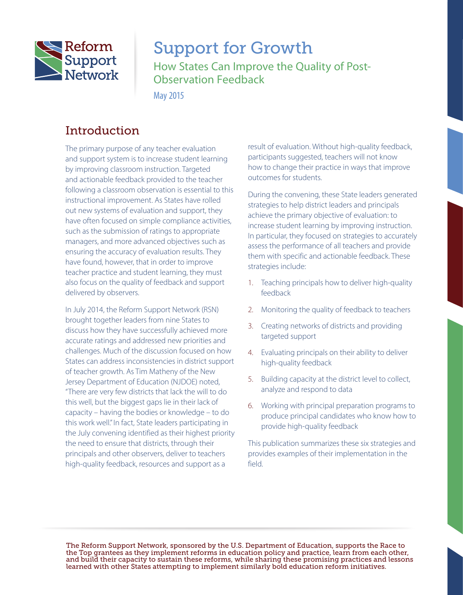

# Support for Growth

How States Can Improve the Quality of Post-Observation Feedback

May 2015

# **Introduction**

The primary purpose of any teacher evaluation and support system is to increase student learning by improving classroom instruction. Targeted and actionable feedback provided to the teacher following a classroom observation is essential to this instructional improvement. As States have rolled out new systems of evaluation and support, they have often focused on simple compliance activities, such as the submission of ratings to appropriate managers, and more advanced objectives such as ensuring the accuracy of evaluation results. They have found, however, that in order to improve teacher practice and student learning, they must also focus on the quality of feedback and support delivered by observers.

In July 2014, the Reform Support Network (RSN) brought together leaders from nine States to discuss how they have successfully achieved more accurate ratings and addressed new priorities and challenges. Much of the discussion focused on how States can address inconsistencies in district support of teacher growth. As Tim Matheny of the New Jersey Department of Education (NJDOE) noted, "There are very few districts that lack the will to do this well, but the biggest gaps lie in their lack of capacity – having the bodies or knowledge – to do this work well." In fact, State leaders participating in the July convening identified as their highest priority the need to ensure that districts, through their principals and other observers, deliver to teachers high-quality feedback, resources and support as a

result of evaluation. Without high-quality feedback, participants suggested, teachers will not know how to change their practice in ways that improve outcomes for students.

During the convening, these State leaders generated strategies to help district leaders and principals achieve the primary objective of evaluation: to increase student learning by improving instruction. In particular, they focused on strategies to accurately assess the performance of all teachers and provide them with specific and actionable feedback. These strategies include:

- 1. Teaching principals how to deliver high-quality feedback
- 2. Monitoring the quality of feedback to teachers
- 3. Creating networks of districts and providing targeted support
- 4. Evaluating principals on their ability to deliver high-quality feedback
- 5. Building capacity at the district level to collect, analyze and respond to data
- 6. Working with principal preparation programs to produce principal candidates who know how to provide high-quality feedback

This publication summarizes these six strategies and provides examples of their implementation in the field.

The Reform Support Network, sponsored by the U.S. Department of Education, supports the Race to the Top grantees as they implement reforms in education policy and practice, learn from each other, and build their capacity to sustain these reforms, while sharing these promising practices and lessons learned with other States attempting to implement similarly bold education reform initiatives.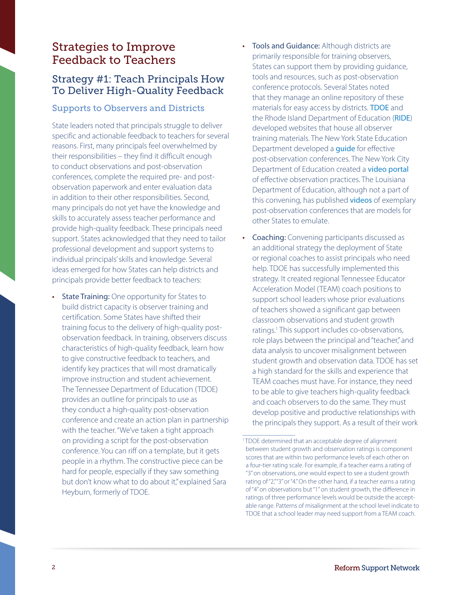# Strategies to Improve Feedback to Teachers

# Strategy #1: Teach Principals How To Deliver High-Quality Feedback

#### Supports to Observers and Districts

State leaders noted that principals struggle to deliver specific and actionable feedback to teachers for several reasons. First, many principals feel overwhelmed by their responsibilities – they find it difficult enough to conduct observations and post-observation conferences, complete the required pre- and postobservation paperwork and enter evaluation data in addition to their other responsibilities. Second, many principals do not yet have the knowledge and skills to accurately assess teacher performance and provide high-quality feedback. These principals need support. States acknowledged that they need to tailor professional development and support systems to individual principals' skills and knowledge. Several ideas emerged for how States can help districts and principals provide better feedback to teachers:

• State Training: One opportunity for States to build district capacity is observer training and certification. Some States have shifted their training focus to the delivery of high-quality postobservation feedback. In training, observers discuss characteristics of high-quality feedback, learn how to give constructive feedback to teachers, and identify key practices that will most dramatically improve instruction and student achievement. The Tennessee Department of Education (TDOE) provides an outline for principals to use as they conduct a high-quality post-observation conference and create an action plan in partnership with the teacher. "We've taken a tight approach on providing a script for the post-observation conference. You can riff on a template, but it gets people in a rhythm. The constructive piece can be hard for people, especially if they saw something but don't know what to do about it," explained Sara Heyburn, formerly of TDOE.

- Tools and Guidance: Although districts are primarily responsible for training observers, States can support them by providing guidance, tools and resources, such as post-observation conference protocols. Several States noted that they manage an online repository of these materials for easy access by districts. [TDOE](http://team-tn.org/wp-content/uploads/2013/08/TEAM-Evaluation-Supplemental-Materials-2014.pdf) and the Rhode Island Department of Education ([RIDE](http://www.ride.ri.gov/TeachersAdministrators/EducatorEvaluation/SummerTrainingResources.aspx)) developed websites that house all observer training materials. The New York State Education Department developed a *[guide](http://www.engageny.org/sites/default/files/resource/attachments/principal_postobs_protocol.docx)* for effective post-observation conferences. The New York City Department of Education created a [video portal](http://schools.nyc.gov/Academics/CommonCoreLibrary/ProfessionalLearning/TeacherEffectiveness/default.htm) of effective observation practices. The Louisiana Department of Education, although not a part of this convening, has published [videos](http://videolibrary.louisianabelieves.com/library/model-teacher-feedback-conversation-kindergarten) of exemplary post-observation conferences that are models for other States to emulate.
- **Coaching:** Convening participants discussed as an additional strategy the deployment of State or regional coaches to assist principals who need help. TDOE has successfully implemented this strategy. It created regional Tennessee Educator Acceleration Model (TEAM) coach positions to support school leaders whose prior evaluations of teachers showed a significant gap between classroom observations and student growth ratings.<sup>1</sup> This support includes co-observations, role plays between the principal and "teacher," and data analysis to uncover misalignment between student growth and observation data. TDOE has set a high standard for the skills and experience that TEAM coaches must have. For instance, they need to be able to give teachers high-quality feedback and coach observers to do the same. They must develop positive and productive relationships with the principals they support. As a result of their work

<sup>&</sup>lt;sup>1</sup> TDOE determined that an acceptable degree of alignment between student growth and observation ratings is component scores that are within two performance levels of each other on a four-tier rating scale. For example, if a teacher earns a rating of "3" on observations, one would expect to see a student growth rating of "2,""3" or "4." On the other hand, if a teacher earns a rating of "4" on observations but "1" on student growth, the difference in ratings of three performance levels would be outside the acceptable range. Patterns of misalignment at the school level indicate to TDOE that a school leader may need support from a TEAM coach.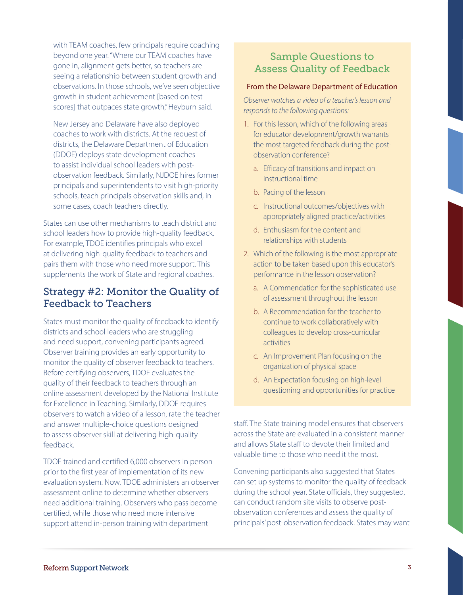with TEAM coaches, few principals require coaching beyond one year. "Where our TEAM coaches have gone in, alignment gets better, so teachers are seeing a relationship between student growth and observations. In those schools, we've seen objective growth in student achievement [based on test scores] that outpaces state growth," Heyburn said.

New Jersey and Delaware have also deployed coaches to work with districts. At the request of districts, the Delaware Department of Education (DDOE) deploys state development coaches to assist individual school leaders with postobservation feedback. Similarly, NJDOE hires former principals and superintendents to visit high-priority schools, teach principals observation skills and, in some cases, coach teachers directly.

States can use other mechanisms to teach district and school leaders how to provide high-quality feedback. For example, TDOE identifies principals who excel at delivering high-quality feedback to teachers and pairs them with those who need more support. This supplements the work of State and regional coaches.

### Strategy #2: Monitor the Quality of Feedback to Teachers

States must monitor the quality of feedback to identify districts and school leaders who are struggling and need support, convening participants agreed. Observer training provides an early opportunity to monitor the quality of observer feedback to teachers. Before certifying observers, TDOE evaluates the quality of their feedback to teachers through an online assessment developed by the National Institute for Excellence in Teaching. Similarly, DDOE requires observers to watch a video of a lesson, rate the teacher and answer multiple-choice questions designed to assess observer skill at delivering high-quality feedback.

TDOE trained and certified 6,000 observers in person prior to the first year of implementation of its new evaluation system. Now, TDOE administers an observer assessment online to determine whether observers need additional training. Observers who pass become certified, while those who need more intensive support attend in-person training with department

# Sample Questions to Assess Quality of Feedback

#### From the Delaware Department of Education

*Observer watches a video of a teacher's lesson and responds to the following questions:*

- 1. For this lesson, which of the following areas for educator development/growth warrants the most targeted feedback during the postobservation conference?
	- a. Efficacy of transitions and impact on instructional time
	- b. Pacing of the lesson
	- c. Instructional outcomes/objectives with appropriately aligned practice/activities
	- d. Enthusiasm for the content and relationships with students
- 2. Which of the following is the most appropriate action to be taken based upon this educator's performance in the lesson observation?
	- a. A Commendation for the sophisticated use of assessment throughout the lesson
	- b. A Recommendation for the teacher to continue to work collaboratively with colleagues to develop cross-curricular activities
	- c. An Improvement Plan focusing on the organization of physical space
	- d. An Expectation focusing on high-level questioning and opportunities for practice

staff. The State training model ensures that observers across the State are evaluated in a consistent manner and allows State staff to devote their limited and valuable time to those who need it the most.

Convening participants also suggested that States can set up systems to monitor the quality of feedback during the school year. State officials, they suggested, can conduct random site visits to observe postobservation conferences and assess the quality of principals' post-observation feedback. States may want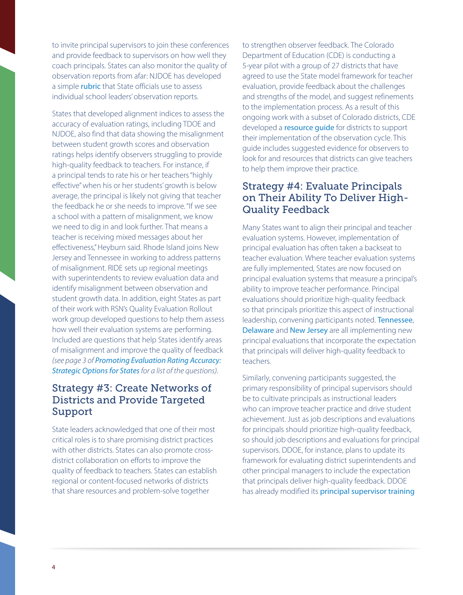to invite principal supervisors to join these conferences and provide feedback to supervisors on how well they coach principals. States can also monitor the quality of observation reports from afar: NJDOE has developed a simple *[rubric](http://www.education-first.com/files/NJDOE_observation_report_rubric.docx_.pdf)* that State officials use to assess individual school leaders' observation reports.

States that developed alignment indices to assess the accuracy of evaluation ratings, including TDOE and NJDOE, also find that data showing the misalignment between student growth scores and observation ratings helps identify observers struggling to provide high-quality feedback to teachers. For instance, if a principal tends to rate his or her teachers "highly effective" when his or her students' growth is below average, the principal is likely not giving that teacher the feedback he or she needs to improve. "If we see a school with a pattern of misalignment, we know we need to dig in and look further. That means a teacher is receiving mixed messages about her effectiveness," Heyburn said. Rhode Island joins New Jersey and Tennessee in working to address patterns of misalignment. RIDE sets up regional meetings with superintendents to review evaluation data and identify misalignment between observation and student growth data. In addition, eight States as part of their work with RSN's Quality Evaluation Rollout work group developed questions to help them assess how well their evaluation systems are performing. Included are questions that help States identify areas of misalignment and improve the quality of feedback *(see page 3 of [Promoting Evaluation Rating Accuracy:](http://www2.ed.gov/about/inits/ed/implementation-support-unit/tech-assist/evaluation-rating-accuracy.pdf)  [Strategic Options for States](http://www2.ed.gov/about/inits/ed/implementation-support-unit/tech-assist/evaluation-rating-accuracy.pdf)for a list of the questions)*.

## Strategy #3: Create Networks of Districts and Provide Targeted Support

State leaders acknowledged that one of their most critical roles is to share promising district practices with other districts. States can also promote crossdistrict collaboration on efforts to improve the quality of feedback to teachers. States can establish regional or content-focused networks of districts that share resources and problem-solve together

to strengthen observer feedback. The Colorado Department of Education (CDE) is conducting a 5-year pilot with a group of 27 districts that have agreed to use the State model framework for teacher evaluation, provide feedback about the challenges and strengths of the model, and suggest refinements to the implementation process. As a result of this ongoing work with a subset of Colorado districts, CDE developed a **resource quide** for districts to support their implementation of the observation cycle. This guide includes suggested evidence for observers to look for and resources that districts can give teachers to help them improve their practice.

# Strategy #4: Evaluate Principals on Their Ability To Deliver High-Quality Feedback

Many States want to align their principal and teacher evaluation systems. However, implementation of principal evaluation has often taken a backseat to teacher evaluation. Where teacher evaluation systems are fully implemented, States are now focused on principal evaluation systems that measure a principal's ability to improve teacher performance. Principal evaluations should prioritize high-quality feedback so that principals prioritize this aspect of instructional leadership, convening participants noted. [Tennessee](http://team-tn.org/wp-content/uploads/2013/08/TEAM-Admin-Evaluation-Rubric-FINAL.pdf), [Delaware](http://www.doe.k12.de.us/csa/dpasii/rubrics/DPASIIPrinPracRubric2013-14.pdf) and [New Jersey](http://www.nj.gov/education/AchieveNJ/intro/1PagerPrincipals.pdf) are all implementing new principal evaluations that incorporate the expectation that principals will deliver high-quality feedback to teachers.

Similarly, convening participants suggested, the primary responsibility of principal supervisors should be to cultivate principals as instructional leaders who can improve teacher practice and drive student achievement. Just as job descriptions and evaluations for principals should prioritize high-quality feedback, so should job descriptions and evaluations for principal supervisors. DDOE, for instance, plans to update its framework for evaluating district superintendents and other principal managers to include the expectation that principals deliver high-quality feedback. DDOE has already modified its [principal supervisor training](http://www.state.nj.us/education/AchieveNJ/principal/PracticeInstrument.pdf)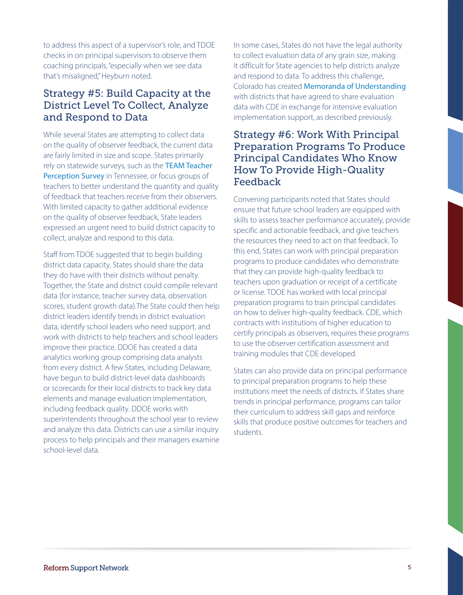to address this aspect of a supervisor's role, and TDOE checks in on principal supervisors to observe them coaching principals, "especially when we see data that's misaligned," Heyburn noted.

## Strategy #5: Build Capacity at the District Level To Collect, Analyze and Respond to Data

rely on statewide surveys, such as the TEAM Teacher Perception Survey in Tennessee, or focus groups of While several States are attempting to collect data on the quality of observer feedback, the current data are fairly limited in size and scope. States primarily teachers to better understand the quantity and quality of feedback that teachers receive from their observers. With limited capacity to gather additional evidence on the quality of observer feedback, State leaders expressed an urgent need to build district capacity to collect, analyze and respond to this data.

Staff from TDOE suggested that to begin building district data capacity, States should share the data they do have with their districts without penalty. Together, the State and district could compile relevant data (for instance, teacher survey data, observation scores, student growth data).The State could then help district leaders identify trends in district evaluation data, identify school leaders who need support, and work with districts to help teachers and school leaders improve their practice. DDOE has created a data analytics working group comprising data analysts from every district. A few States, including Delaware, have begun to build district-level data dashboards or scorecards for their local districts to track key data elements and manage evaluation implementation, including feedback quality. DDOE works with superintendents throughout the school year to review and analyze this data. Districts can use a similar inquiry process to help principals and their managers examine school-level data.

In some cases, States do not have the legal authority to collect evaluation data of any grain size, making it difficult for State agencies to help districts analyze and respond to data. To address this challenge, Colorado has created [Memoranda of Understanding](http://scee.groupsite.com/uploads/files/x/000/081/e19/MOU Sample-Pilot District Participation.docx?1341760285) with districts that have agreed to share evaluation data with CDE in exchange for intensive evaluation implementation support, as described previously.

### Strategy #6: Work With Principal Preparation Programs To Produce Principal Candidates Who Know How To Provide High-Quality Feedback

Convening participants noted that States should ensure that future school leaders are equipped with skills to assess teacher performance accurately, provide specific and actionable feedback, and give teachers the resources they need to act on that feedback. To this end, States can work with principal preparation programs to produce candidates who demonstrate that they can provide high-quality feedback to teachers upon graduation or receipt of a certificate or license. TDOE has worked with local principal preparation programs to train principal candidates on how to deliver high-quality feedback. CDE, which contracts with institutions of higher education to certify principals as observers, requires these programs to use the observer certification assessment and training modules that CDE developed.

States can also provide data on principal performance to principal preparation programs to help these institutions meet the needs of districts. If States share trends in principal performance, programs can tailor their curriculum to address skill gaps and reinforce skills that produce positive outcomes for teachers and students.